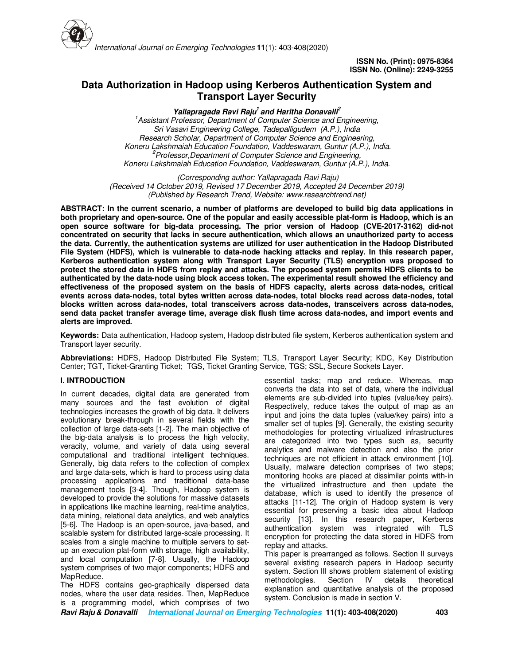

# **Data Authorization in Hadoop using Kerberos Authentication System and Transport Layer Security**

**Yallapragada Ravi Raju<sup>1</sup>and Haritha Donavalli<sup>2</sup>**

*<sup>1</sup>Assistant Professor, Department of Computer Science and Engineering, Sri Vasavi Engineering College, Tadepalligudem (A.P.), India Research Scholar, Department of Computer Science and Engineering, Koneru Lakshmaiah Education Foundation, Vaddeswaram, Guntur (A.P.), India. <sup>2</sup>Professor,Department of Computer Science and Engineering, Koneru Lakshmaiah Education Foundation, Vaddeswaram, Guntur (A.P.), India.*

 *(Corresponding author: Yallapragada Ravi Raju) (Received 14 October 2019, Revised 17 December 2019, Accepted 24 December 2019) (Published by Research Trend, Website: www.researchtrend.net)*

**ABSTRACT: In the current scenario, a number of platforms are developed to build big data applications in both proprietary and open-source. One of the popular and easily accessible plat-form is Hadoop, which is an open source software for big-data processing. The prior version of Hadoop (CVE-2017-3162) did-not concentrated on security that lacks in secure authentication, which allows an unauthorized party to access the data. Currently, the authentication systems are utilized for user authentication in the Hadoop Distributed File System (HDFS), which is vulnerable to data-node hacking attacks and replay. In this research paper, Kerberos authentication system along with Transport Layer Security (TLS) encryption was proposed to protect the stored data in HDFS from replay and attacks. The proposed system permits HDFS clients to be authenticated by the data-node using block access token. The experimental result showed the efficiency and effectiveness of the proposed system on the basis of HDFS capacity, alerts across data-nodes, critical events across data-nodes, total bytes written across data-nodes, total blocks read across data-nodes, total blocks written across data-nodes, total transceivers across data-nodes, transceivers across data-nodes, send data packet transfer average time, average disk flush time across data-nodes, and import events and alerts are improved.** 

**Keywords:** Data authentication, Hadoop system, Hadoop distributed file system, Kerberos authentication system and Transport layer security.

**Abbreviations:** HDFS, Hadoop Distributed File System; TLS, Transport Layer Security; KDC, Key Distribution Center; TGT, Ticket-Granting Ticket; TGS, Ticket Granting Service, TGS; SSL, Secure Sockets Layer.

## **I. INTRODUCTION**

In current decades, digital data are generated from many sources and the fast evolution of digital technologies increases the growth of big data. It delivers evolutionary break-through in several fields with the collection of large data-sets [1-2]. The main objective of the big-data analysis is to process the high velocity, veracity, volume, and variety of data using several computational and traditional intelligent techniques. Generally, big data refers to the collection of complex and large data-sets, which is hard to process using data processing applications and traditional data-base management tools [3-4]. Though, Hadoop system is developed to provide the solutions for massive datasets in applications like machine learning, real-time analytics, data mining, relational data analytics, and web analytics [5-6]. The Hadoop is an open-source, java-based, and scalable system for distributed large-scale processing. It scales from a single machine to multiple servers to setup an execution plat-form with storage, high availability, and local computation [7-8]. Usually, the Hadoop system comprises of two major components; HDFS and MapReduce.

The HDFS contains geo-graphically dispersed data nodes, where the user data resides. Then, MapReduce is a programming model, which comprises of two essential tasks; map and reduce. Whereas, map converts the data into set of data, where the individual elements are sub-divided into tuples (value/key pairs). Respectively, reduce takes the output of map as an input and joins the data tuples (value/key pairs) into a smaller set of tuples [9]. Generally, the existing security methodologies for protecting virtualized infrastructures are categorized into two types such as, security analytics and malware detection and also the prior techniques are not efficient in attack environment [10]. Usually, malware detection comprises of two steps; monitoring hooks are placed at dissimilar points with-in the virtualized infrastructure and then update the database, which is used to identify the presence of attacks [11-12]. The origin of Hadoop system is very essential for preserving a basic idea about Hadoop security [13]. In this research paper, Kerberos authentication system was integrated with TLS encryption for protecting the data stored in HDFS from replay and attacks.

This paper is prearranged as follows. Section II surveys several existing research papers in Hadoop security system. Section III shows problem statement of existing<br>methodologies. Section IV details theoretical methodologies. Section IV details theoretical explanation and quantitative analysis of the proposed system. Conclusion is made in section V.

**Ravi Raju & Donavalli International Journal on Emerging Technologies 11(1): 403-408(2020) 403**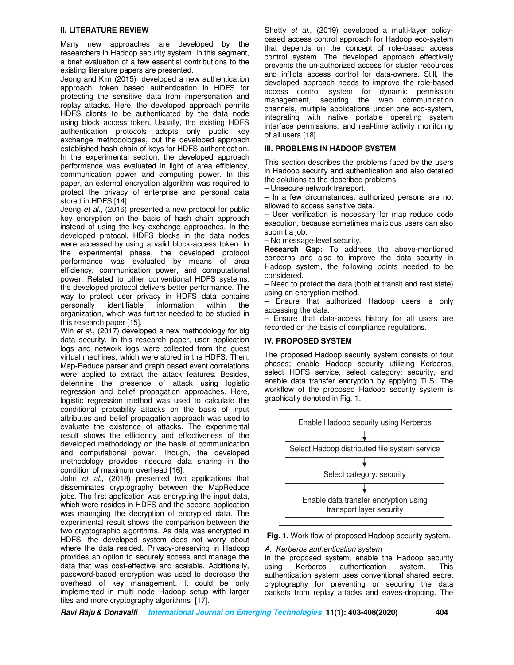## **II. LITERATURE REVIEW**

Many new approaches are developed by the researchers in Hadoop security system. In this segment, a brief evaluation of a few essential contributions to the existing literature papers are presented.

Jeong and Kim (2015) developed a new authentication approach: token based authentication in HDFS for protecting the sensitive data from impersonation and replay attacks. Here, the developed approach permits HDFS clients to be authenticated by the data node using block access token. Usually, the existing HDFS authentication protocols adopts only public key exchange methodologies, but the developed approach established hash chain of keys for HDFS authentication. In the experimental section, the developed approach performance was evaluated in light of area efficiency, communication power and computing power. In this paper, an external encryption algorithm was required to protect the privacy of enterprise and personal data stored in HDFS [14].

Jeong *et al.*, (2016) presented a new protocol for public key encryption on the basis of hash chain approach instead of using the key exchange approaches. In the developed protocol, HDFS blocks in the data nodes were accessed by using a valid block-access token. In the experimental phase, the developed protocol performance was evaluated by means of area efficiency, communication power, and computational power. Related to other conventional HDFS systems, the developed protocol delivers better performance. The way to protect user privacy in HDFS data contains personally identifiable information within the organization, which was further needed to be studied in this research paper [15].

Win *et al.*, (2017) developed a new methodology for big data security. In this research paper, user application logs and network logs were collected from the guest virtual machines, which were stored in the HDFS. Then, Map-Reduce parser and graph based event correlations were applied to extract the attack features. Besides, determine the presence of attack using logistic regression and belief propagation approaches. Here, logistic regression method was used to calculate the conditional probability attacks on the basis of input attributes and belief propagation approach was used to evaluate the existence of attacks. The experimental result shows the efficiency and effectiveness of the developed methodology on the basis of communication and computational power. Though, the developed methodology provides insecure data sharing in the condition of maximum overhead [16].

Johri *et al.*, (2018) presented two applications that disseminates cryptography between the MapReduce jobs. The first application was encrypting the input data, which were resides in HDFS and the second application was managing the decryption of encrypted data. The experimental result shows the comparison between the two cryptographic algorithms. As data was encrypted in HDFS, the developed system does not worry about where the data resided. Privacy-preserving in Hadoop provides an option to securely access and manage the data that was cost-effective and scalable. Additionally, password-based encryption was used to decrease the overhead of key management. It could be only implemented in multi node Hadoop setup with larger files and more cryptography algorithms [17].

Shetty *et al.*, (2019) developed a multi-layer policybased access control approach for Hadoop eco-system that depends on the concept of role-based access control system. The developed approach effectively prevents the un-authorized access for cluster resources and inflicts access control for data-owners. Still, the developed approach needs to improve the role-based access control system for dynamic permission management, securing the web communication channels, multiple applications under one eco-system, integrating with native portable operating system interface permissions, and real-time activity monitoring of all users [18].

# **III. PROBLEMS IN HADOOP SYSTEM**

This section describes the problems faced by the users in Hadoop security and authentication and also detailed the solutions to the described problems.

– Unsecure network transport.

– In a few circumstances, authorized persons are not allowed to access sensitive data.

– User verification is necessary for map reduce code execution, because sometimes malicious users can also submit a job.

– No message-level security.

**Research Gap:** To address the above-mentioned concerns and also to improve the data security in Hadoop system, the following points needed to be considered.

– Need to protect the data (both at transit and rest state) using an encryption method.

– Ensure that authorized Hadoop users is only accessing the data.

– Ensure that data-access history for all users are recorded on the basis of compliance regulations.

## **IV. PROPOSED SYSTEM**

The proposed Hadoop security system consists of four phases; enable Hadoop security utilizing Kerberos, select HDFS service, select category: security, and enable data transfer encryption by applying TLS. The workflow of the proposed Hadoop security system is graphically denoted in Fig. 1.



**Fig. 1.** Work flow of proposed Hadoop security system.

### *A. Kerberos authentication system*

In the proposed system, enable the Hadoop security<br>using Kerberos authentication system. This using Kerberos authentication system. This authentication system uses conventional shared secret cryptography for preventing or securing the data packets from replay attacks and eaves-dropping. The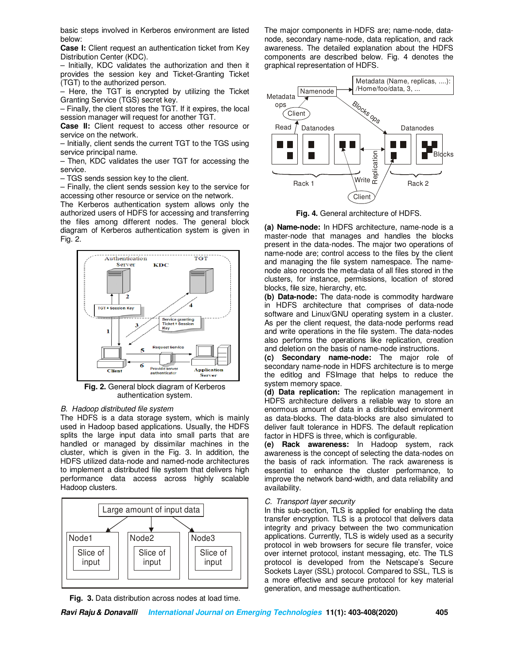basic steps involved in Kerberos environment are listed below:

**Case I:** Client request an authentication ticket from Key Distribution Center (KDC).

– Initially, KDC validates the authorization and then it provides the session key and Ticket-Granting Ticket (TGT) to the authorized person.

– Here, the TGT is encrypted by utilizing the Ticket Granting Service (TGS) secret key.

– Finally, the client stores the TGT. If it expires, the local session manager will request for another TGT.

**Case II:** Client request to access other resource or service on the network.

– Initially, client sends the current TGT to the TGS using service principal name.

– Then, KDC validates the user TGT for accessing the service.

– TGS sends session key to the client.

– Finally, the client sends session key to the service for accessing other resource or service on the network.

The Kerberos authentication system allows only the authorized users of HDFS for accessing and transferring the files among different nodes. The general block diagram of Kerberos authentication system is given in Fig. 2.



**Fig. 2.** General block diagram of Kerberos authentication system.

#### *B. Hadoop distributed file system*

The HDFS is a data storage system, which is mainly used in Hadoop based applications. Usually, the HDFS splits the large input data into small parts that are handled or managed by dissimilar machines in the cluster, which is given in the Fig. 3. In addition, the HDFS utilized data-node and named-node architectures to implement a distributed file system that delivers high performance data access across highly scalable Hadoop clusters.



**Fig. 3.** Data distribution across nodes at load time.

The major components in HDFS are; name-node, datanode, secondary name-node, data replication, and rack awareness. The detailed explanation about the HDFS components are described below. Fig. 4 denotes the graphical representation of HDFS.



**Fig. 4.** General architecture of HDFS.

**(a) Name-node:** In HDFS architecture, name-node is a master-node that manages and handles the blocks present in the data-nodes. The major two operations of name-node are; control access to the files by the client and managing the file system namespace. The namenode also records the meta-data of all files stored in the clusters, for instance, permissions, location of stored blocks, file size, hierarchy, etc.

**(b) Data-node:** The data-node is commodity hardware in HDFS architecture that comprises of data-node software and Linux/GNU operating system in a cluster. As per the client request, the data-node performs read and write operations in the file system. The data-nodes also performs the operations like replication, creation and deletion on the basis of name-node instructions.

**(c) Secondary name-node:** The major role of secondary name-node in HDFS architecture is to merge the editlog and FSImage that helps to reduce the system memory space.

**(d) Data replication:** The replication management in HDFS architecture delivers a reliable way to store an enormous amount of data in a distributed environment as data-blocks. The data-blocks are also simulated to deliver fault tolerance in HDFS. The default replication factor in HDFS is three, which is configurable.

**(e) Rack awareness:** In Hadoop system, rack awareness is the concept of selecting the data-nodes on the basis of rack information. The rack awareness is essential to enhance the cluster performance, to improve the network band-width, and data reliability and availability.

### *C. Transport layer security*

In this sub-section, TLS is applied for enabling the data transfer encryption. TLS is a protocol that delivers data integrity and privacy between the two communication applications. Currently, TLS is widely used as a security protocol in web browsers for secure file transfer, voice over internet protocol, instant messaging, etc. The TLS protocol is developed from the Netscape's Secure Sockets Layer (SSL) protocol. Compared to SSL, TLS is a more effective and secure protocol for key material generation, and message authentication.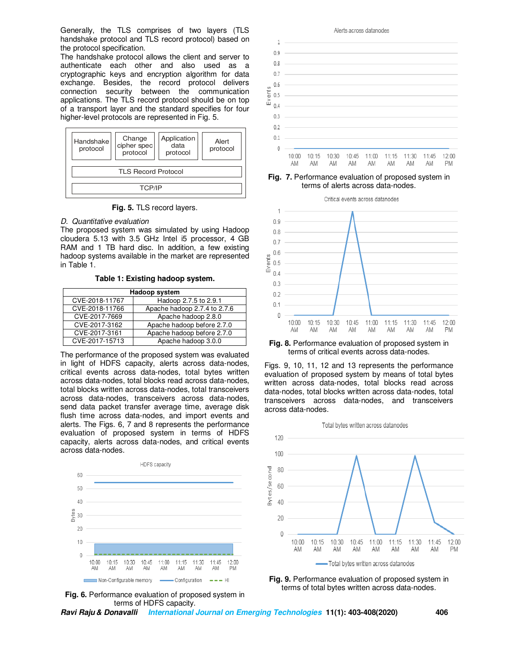Generally, the TLS comprises of two layers (TLS handshake protocol and TLS record protocol) based on the protocol specification.

The handshake protocol allows the client and server to authenticate each other and also used as a cryptographic keys and encryption algorithm for data exchange. Besides, the record protocol delivers connection security between the communication applications. The TLS record protocol should be on top of a transport layer and the standard specifies for four higher-level protocols are represented in Fig. 5.

| Handshake<br>protocol      | Change<br>cipher spec<br>protocol | Application<br>data<br>protocol | Alert<br>protocol |  |
|----------------------------|-----------------------------------|---------------------------------|-------------------|--|
| <b>TLS Record Protocol</b> |                                   |                                 |                   |  |
| TCP/IP                     |                                   |                                 |                   |  |

**Fig. 5.** TLS record layers.

*D. Quantitative evaluation* 

The proposed system was simulated by using Hadoop cloudera 5.13 with 3.5 GHz Intel i5 processor, 4 GB RAM and 1 TB hard disc. In addition, a few existing hadoop systems available in the market are represented in Table 1.

**Table 1: Existing hadoop system.**

| Hadoop system  |                              |  |
|----------------|------------------------------|--|
| CVE-2018-11767 | Hadoop 2.7.5 to 2.9.1        |  |
| CVE-2018-11766 | Apache hadoop 2.7.4 to 2.7.6 |  |
| CVE-2017-7669  | Apache hadoop 2.8.0          |  |
| CVE-2017-3162  | Apache hadoop before 2.7.0   |  |
| CVE-2017-3161  | Apache hadoop before 2.7.0   |  |
| CVE-2017-15713 | Apache hadoop 3.0.0          |  |

The performance of the proposed system was evaluated in light of HDFS capacity, alerts across data-nodes, critical events across data-nodes, total bytes written across data-nodes, total blocks read across data-nodes, total blocks written across data-nodes, total transceivers across data-nodes, transceivers across data-nodes, send data packet transfer average time, average disk flush time across data-nodes, and import events and alerts. The Figs. 6, 7 and 8 represents the performance evaluation of proposed system in terms of HDFS capacity, alerts across data-nodes, and critical events across data-nodes.





 $\mathbf{1}$  $0.9$ 0.8  $0.7$  $0.6$ ents  $0.5$ ű  $0.4$ 03  $0.2$  $0.1$  $\theta$  $10:30$ 10:45  $11:00$  $11.15$  $10:00$  $10:15$  $11:30$  $11.45$  $12:00$ AM AM AM AM AM AM AM AM PM

**Fig. 7.** Performance evaluation of proposed system in terms of alerts across data-nodes.



**Fig. 8.** Performance evaluation of proposed system in terms of critical events across data-nodes.

Figs. 9, 10, 11, 12 and 13 represents the performance evaluation of proposed system by means of total bytes written across data-nodes, total blocks read across data-nodes, total blocks written across data-nodes, total transceivers across data-nodes, and transceivers across data-nodes.





**Ravi Raju & Donavalli International Journal on Emerging Technologies 11(1): 403-408(2020) 406**

#### Alerts across datanodes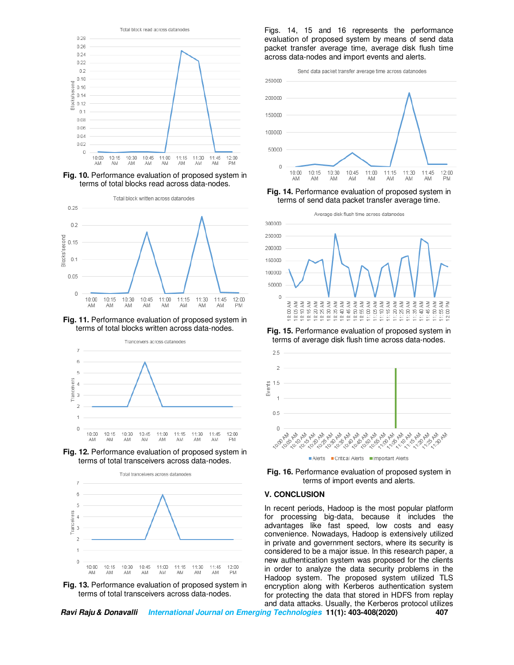

**Fig. 10.** Performance evaluation of proposed system in terms of total blocks read across data-nodes.



**Fig. 11.** Performance evaluation of proposed system in terms of total blocks written across data-nodes.



**Fig. 12.** Performance evaluation of proposed system in terms of total transceivers across data-nodes.



**Fig. 13.** Performance evaluation of proposed system in terms of total transceivers across data-nodes.

Figs. 14, 15 and 16 represents the performance evaluation of proposed system by means of send data packet transfer average time, average disk flush time across data-nodes and import events and alerts.



**Fig. 14.** Performance evaluation of proposed system in terms of send data packet transfer average time.



**Fig. 15.** Performance evaluation of proposed system in terms of average disk flush time across data-nodes.



**Fig. 16.** Performance evaluation of proposed system in terms of import events and alerts.

### **V. CONCLUSION**

In recent periods, Hadoop is the most popular platform for processing big-data, because it includes the advantages like fast speed, low costs and easy convenience. Nowadays, Hadoop is extensively utilized in private and government sectors, where its security is considered to be a major issue. In this research paper, a new authentication system was proposed for the clients in order to analyze the data security problems in the Hadoop system. The proposed system utilized TLS encryption along with Kerberos authentication system for protecting the data that stored in HDFS from replay and data attacks. Usually, the Kerberos protocol utilizes

**Ravi Raju & Donavalli International Journal on Emerging Technologies 11(1): 403-408(2020) 407**